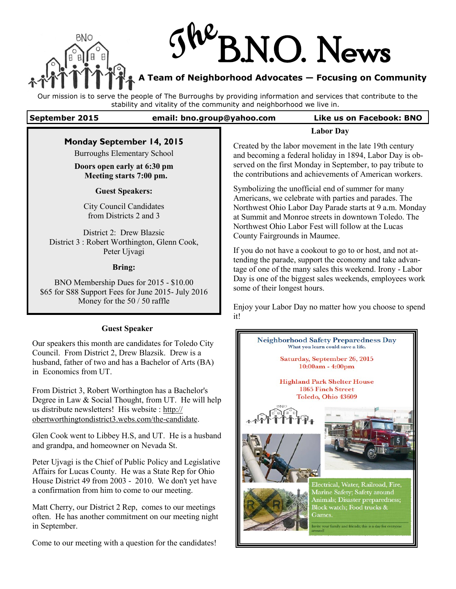

# **The** N.O. News

# **A Team of Neighborhood Advocates — Focusing on Community**

Our mission is to serve the people of The Burroughs by providing information and services that contribute to the stability and vitality of the community and neighborhood we live in.

**September 2015 email: bno.group@yahoo.com Like us on Facebook: BNO**

|                                                                                              | <b>Labor Day</b>                                                                                                      |  |
|----------------------------------------------------------------------------------------------|-----------------------------------------------------------------------------------------------------------------------|--|
| Monday September 14, 2015                                                                    | Created by the labor movement in the late 19th century                                                                |  |
| <b>Burroughs Elementary School</b>                                                           | and becoming a federal holiday in 1894, Labor Day is ob-                                                              |  |
| Doors open early at 6:30 pm<br>Meeting starts 7:00 pm.                                       | served on the first Monday in September, to pay tribute to<br>the contributions and achievements of American workers. |  |
| <b>Guest Speakers:</b>                                                                       | Symbolizing the unofficial end of summer for many<br>Americans, we celebrate with parties and parades. The            |  |
| <b>City Council Candidates</b>                                                               | Northwest Ohio Labor Day Parade starts at 9 a.m. Monday                                                               |  |
| from Districts 2 and 3                                                                       | at Summit and Monroe streets in downtown Toledo. The                                                                  |  |
| District 2: Drew Blazsic<br>District 3 : Robert Worthington, Glenn Cook,                     | Northwest Ohio Labor Fest will follow at the Lucas<br>County Fairgrounds in Maumee.                                   |  |
| Peter Ujvagi                                                                                 | If you do not have a cookout to go to or host, and not at-<br>tending the parade, support the economy and take advan- |  |
| <b>Bring:</b>                                                                                | tage of one of the many sales this weekend. Irony - Labor                                                             |  |
| BNO Membership Dues for 2015 - \$10.00<br>\$65 for S88 Support Fees for June 2015- July 2016 | Day is one of the biggest sales weekends, employees work<br>some of their longest hours.                              |  |
| Money for the $50/50$ raffle                                                                 | Enjoy your Labor Day no matter how you choose to spend<br>it!                                                         |  |
| <b>Guest Speaker</b>                                                                         |                                                                                                                       |  |

Our speakers this month are candidates for Toledo City Council. From District 2, Drew Blazsik. Drew is a husband, father of two and has a Bachelor of Arts (BA) in Economics from UT.

From District 3, Robert Worthington has a Bachelor's Degree in Law & Social Thought, from UT. He will help us distribute newsletters! His website : http:// obertworthingtondistrict3.webs.com/the-candidate.

Glen Cook went to Libbey H.S, and UT. He is a husband and grandpa, and homeowner on Nevada St.

Peter Ujvagi is the Chief of Public Policy and Legislative Affairs for Lucas County. He was a State Rep for Ohio House District 49 from 2003 - 2010. We don't yet have a confirmation from him to come to our meeting.

Matt Cherry, our District 2 Rep, comes to our meetings often. He has another commitment on our meeting night in September.

Come to our meeting with a question for the candidates!